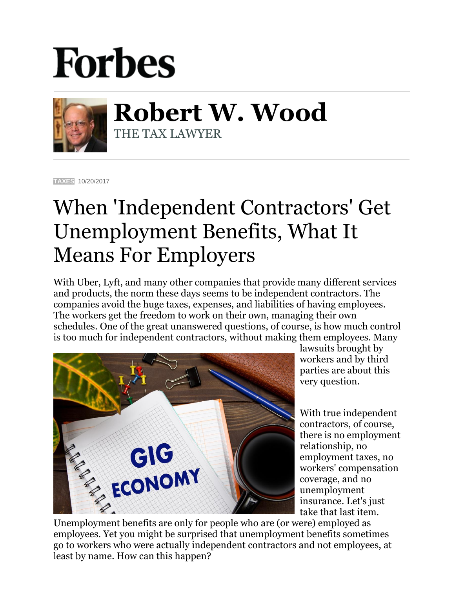## **Forbes**



**Robert W. Wood** THE TAX LAWYER

**[TAXES](https://www.forbes.com/taxes)** 10/20/2017

## When 'Independent Contractors' Get Unemployment Benefits, What It Means For Employers

With Uber, Lyft, and many other companies that provide many different services and products, the norm these days seems to be independent contractors. The companies avoid the huge taxes, expenses, and liabilities of having employees. The workers get the freedom to work on their own, managing their own schedules. One of the great unanswered questions, of course, is how much control is too much for independent contractors, without making them employees. Many



lawsuits brought by workers and by third parties are about this very question.

With true independent contractors, of course, there is no employment relationship, no employment taxes, no workers' compensation coverage, and no unemployment insurance. Let's just take that last item.

Unemployment benefits are only for people who are (or were) employed as employees. Yet you might be surprised that unemployment benefits sometimes go to workers who were actually independent contractors and not employees, at least by name. How can this happen?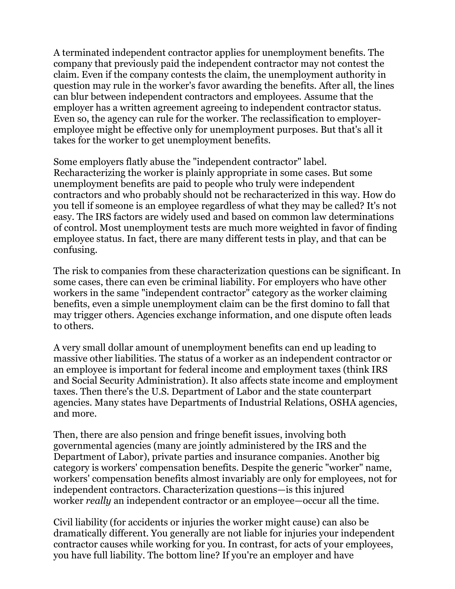A terminated independent contractor applies for unemployment benefits. The company that previously paid the independent contractor may not contest the claim. Even if the company contests the claim, the unemployment authority in question may rule in the worker's favor awarding the benefits. After all, the lines can blur between independent contractors and employees. Assume that the employer has a written agreement agreeing to independent contractor status. Even so, the agency can rule for the worker. The reclassification to employeremployee might be effective only for unemployment purposes. But that's all it takes for the worker to get unemployment benefits.

Some employers flatly abuse the "independent contractor" label. Recharacterizing the worker is plainly appropriate in some cases. But some unemployment benefits are paid to people who truly were independent contractors and who probably should not be recharacterized in this way. How do you tell if someone is an employee regardless of what they may be called? It's not easy. The IRS factors are widely used and based on common law determinations of control. Most unemployment tests are much more weighted in favor of finding employee status. In fact, there are many different tests in play, and that can be confusing.

The risk to companies from these characterization questions can be significant. In some cases, there can even be criminal liability. For employers who have other workers in the same "independent contractor" category as the worker claiming benefits, even a simple unemployment claim can be the first domino to fall that may trigger others. Agencies exchange information, and one dispute often leads to others.

A very small dollar amount of unemployment benefits can end up leading to massive other liabilities. The status of a worker as an independent contractor or an employee is important for federal income and employment taxes (think IRS and Social Security Administration). It also affects state income and employment taxes. Then there's the U.S. Department of Labor and the state counterpart agencies. Many states have Departments of Industrial Relations, OSHA agencies, and more.

Then, there are also pension and fringe benefit issues, involving both governmental agencies (many are jointly administered by the IRS and the Department of Labor), private parties and insurance companies. Another big category is workers' compensation benefits. Despite the generic "worker" name, workers' compensation benefits almost invariably are only for employees, not for independent contractors. Characterization questions—is this injured worker *really* an independent contractor or an employee—occur all the time.

Civil liability (for accidents or injuries the worker might cause) can also be dramatically different. You generally are not liable for injuries your independent contractor causes while working for you. In contrast, for acts of your employees, you have full liability. The bottom line? If you're an employer and have